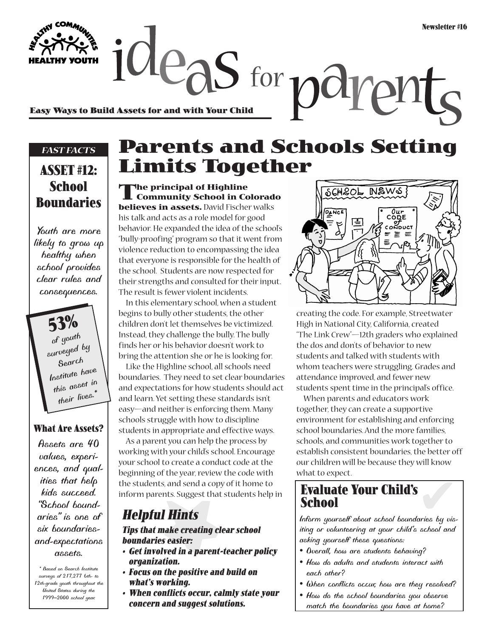EASY WAYS TO BUILD AS FOR DOWN THEALTHY YOUTH **JULIANS** 

#### *FAST FACTS*

### **ASSET #12: School Boundaries**

*Youth are more likely to grow up healthy when school provides clear rules and consequences.*

> **53%** *of youth surveyed by Search Institute have this asset in their lives.\**

#### **What Are Assets?**

*Assets are 40 values, experiences, and qualities that help kids succeed. "School boundaries" is one of six boundariesand-expectations assets.*

*\* Based on Search Institute surveys of 217,277 6th- to 12th-grade youth throughout the United States during the 1999–2000 school year.*

# **Parents and Schools Setting Limits Together**

**The principal of Highline Community School in Colorado believes in assets.** David Fischer walks his talk and acts as a role model for good behavior. He expanded the idea of the school's "bully-proofing" program so that it went from violence reduction to encompassing the idea that everyone is responsible for the health of the school. Students are now respected for their strengths and consulted for their input. The result is fewer violent incidents.

In this elementary school, when a student begins to bully other students, the other children don't let themselves be victimized. Instead, they challenge the bully. The bully finds her or his behavior doesn't work to bring the attention she or he is looking for.

Like the Highline school, all schools need boundaries. They need to set clear boundaries and expectations for how students should act and learn. Yet setting these standards isn't easy—and neither is enforcing them. Many schools struggle with how to discipline students in appropriate and effective ways.

As a parent you can help the process by working with your child's school. Encourage your school to create a conduct code at the beginning of the year, review the code with the students, and send a copy of it home to inform parents. Suggest that students help in

### **Helpful Hints**

**Tips that make creating clear school boundaries easier:**

- **Get involved in a parent-teacher policy organization.**
- **Focus on the positive and build on what's working.**
- **When conflicts occur, calmly state your concern and suggest solutions.**



ph

creating the code. For example, Streetwater High in National City, California, created "The Link Crew"—12th graders who explained the dos and don'ts of behavior to new students and talked with students with whom teachers were struggling. Grades and attendance improved, and fewer new students spent time in the principal's office.

When parents and educators work together, they can create a supportive environment for establishing and enforcing school boundaries. And the more families, schools, and communities work together to establish consistent boundaries, the better off our children will be because they will know what to expect.

### **Evaluate Your Child's<br>
School**<br> *Inform yourself about school boundaries by vis-***Evaluate Your Child's School**

*iting or volunteering at your child's school and asking yourself these questions:*

- *Overall, how are students behaving?*
- *How do adults and students interact with each other?*
- *When conflicts occur, how are they resolved?*
- *How do the school boundaries you observe match the boundaries you have at home?*